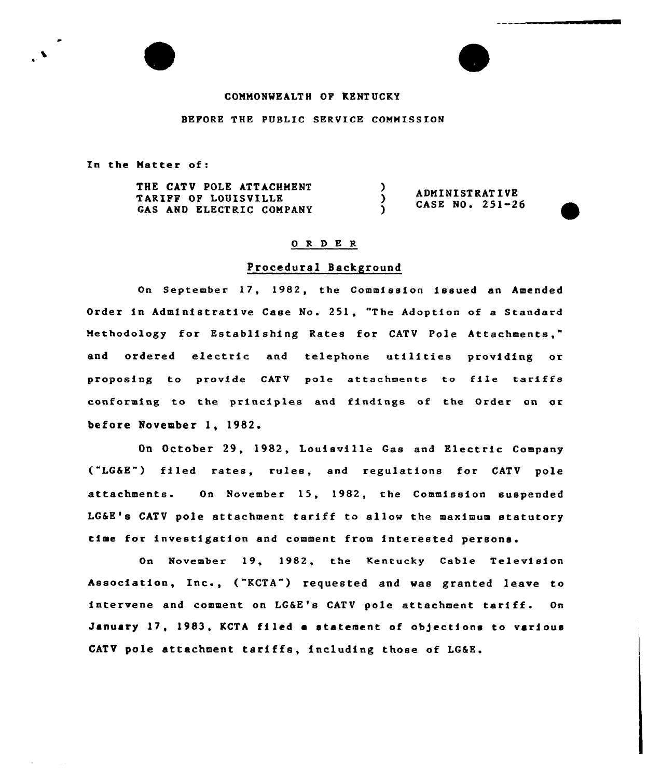## COMMONWEALTH OF KENTUCKY

### BEFORE THE PUBLIC SERVICE COMMISSION

In the Matter of:

THE CAT V POLE ATTACHMENT  $\lambda$ ADMI NIST RAT IVE TARIFF OF LOUISVILLE  $\lambda$ CASE NO. 251-26 GAS AND ELECTRIC COMPANY  $\mathbf{A}$ 

# 0 R <sup>D</sup> E R

#### Procedural Background

On Septembex 17, 1982, the Commission issued an Amended Order in Administrative Case No. 251, "The Adoption of a Standard Methodology for Establishing Rates for CATV Pole Attachments," and ordered electric and telephone utilities providing or px'oposing to pxovide CATV pole attachments to file taxiffs conforming to the principles and findings of the Order on or before November 1, 1982.

On October 29, 1982, Louisville Gas and Electric Company ("LG&E") filed rates, rules, and regulations for CATV pole attachments. On November 15, 1982, the Commission suspended LG&E's CATV pole attachment tariff to allow the maximum statutory time for investigation and comment from interested persons.

On November 19, 1982, the Kentucky Cable Television Association, Inc., ("KCTA") requested and was granted le<mark>ave</mark> to intervene and comment on LG&E's CATV pole attachment tariff. On January 17, 1983, KCTA filed <sup>~</sup> statement of objections to various CATV pole attachment tariffs, including those of LG&E.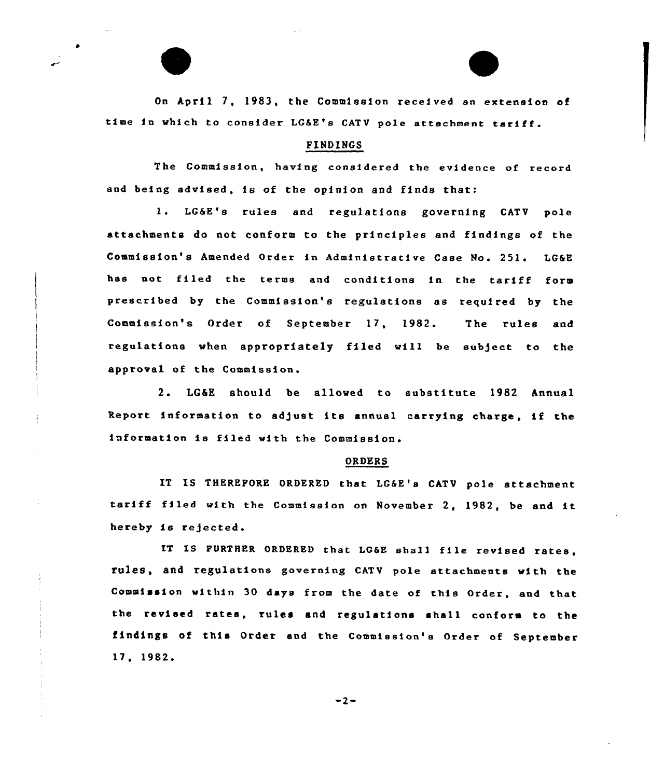On April 7, 1983, the Commission received an extension of time in which to consider LGSE'e CATV pole attachment tariff.

#### FINDINGS

The Commission, having considered the evidence of record and being advised, ie of the opinion and finds that:

1. LG6E's rules end regulatione governing CATV pole attachments do not conform to the principles and findings of the Commission's Amended Order in Administrative Case No. 251. LG&E hae not filed the terms and conditions in the tariff form prescribed by the Commission's regulations ae required by the Commission's Order of September 17, 1982. The rules and regulations when appropriately filed will be subject to the approval of the Commission.

2. LQ6E should be allowed to substitute 1982 hnnual Report information to ad)ust its annual carrying charge, if the information ie filed with the Commission.

#### ORDERS

IT IS THEREPORE ORDERED that LG6E's CATV pole attachment tariff filed with the Commission on November 2, 1982, be and it hereby is rejected.

IT IS PURTHER ORDERED that LG&E shall file revised rates, rules, and regulations governing cATv pole attachments with the Commission within 30 days from the date of this Order, and that the revised rates, rules and regulations shall conform to the findings of this Order and the Commission's Order of September 17, 1982

 $-2-$